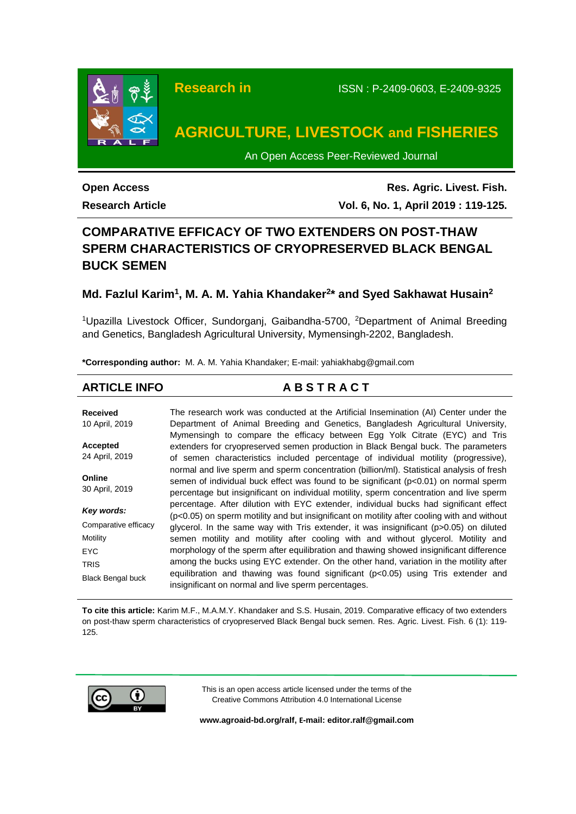

**Open Access**

**Research Article**

**Res. Agric. Livest. Fish. Vol. 6, No. 1, April 2019 : 119-125.**

# **COMPARATIVE EFFICACY OF TWO EXTENDERS ON POST-THAW SPERM CHARACTERISTICS OF CRYOPRESERVED BLACK BENGAL BUCK SEMEN**

# **Md. Fazlul Karim<sup>1</sup> , M. A. M. Yahia Khandaker<sup>2</sup> \* and Syed Sakhawat Husain<sup>2</sup>**

<sup>1</sup>Upazilla Livestock Officer, Sundorganj, Gaibandha-5700, <sup>2</sup>Department of Animal Breeding and Genetics, Bangladesh Agricultural University, Mymensingh-2202, Bangladesh.

**\*Corresponding author:** M. A. M. Yahia Khandaker; E-mail: yahiakhabg@gmail.com

# **ARTICLE INFO A B S T R A C T**

**Received** 10 April, 2019 **Accepted** 24 April, 2019 **Online** 30 April, 2019 *Key words:* Comparative efficacy Motility EYC TRIS Black Bengal buck The research work was conducted at the Artificial Insemination (AI) Center under the Department of Animal Breeding and Genetics, Bangladesh Agricultural University, Mymensingh to compare the efficacy between Egg Yolk Citrate (EYC) and Tris extenders for cryopreserved semen production in Black Bengal buck. The parameters of semen characteristics included percentage of individual motility (progressive), normal and live sperm and sperm concentration (billion/ml). Statistical analysis of fresh semen of individual buck effect was found to be significant (p<0.01) on normal sperm percentage but insignificant on individual motility, sperm concentration and live sperm percentage. After dilution with EYC extender, individual bucks had significant effect (p<0.05) on sperm motility and but insignificant on motility after cooling with and without glycerol. In the same way with Tris extender, it was insignificant (p>0.05) on diluted semen motility and motility after cooling with and without glycerol. Motility and morphology of the sperm after equilibration and thawing showed insignificant difference among the bucks using EYC extender. On the other hand, variation in the motility after equilibration and thawing was found significant (p<0.05) using Tris extender and insignificant on normal and live sperm percentages.

**To cite this article:** Karim M.F., M.A.M.Y. Khandaker and S.S. Husain, 2019. Comparative efficacy of two extenders on post-thaw sperm characteristics of cryopreserved Black Bengal buck semen. Res. Agric. Livest. Fish. 6 (1): 119- 125.



This is an open access article licensed under the terms of the Creative Commons Attribution 4.0 International License

**[www.agroaid-bd.org/ralf,](http://www.agroaid-bd.org/ralf) E-mail[: editor.ralf@gmail.com](mailto:editor.ralf@gmail.com)**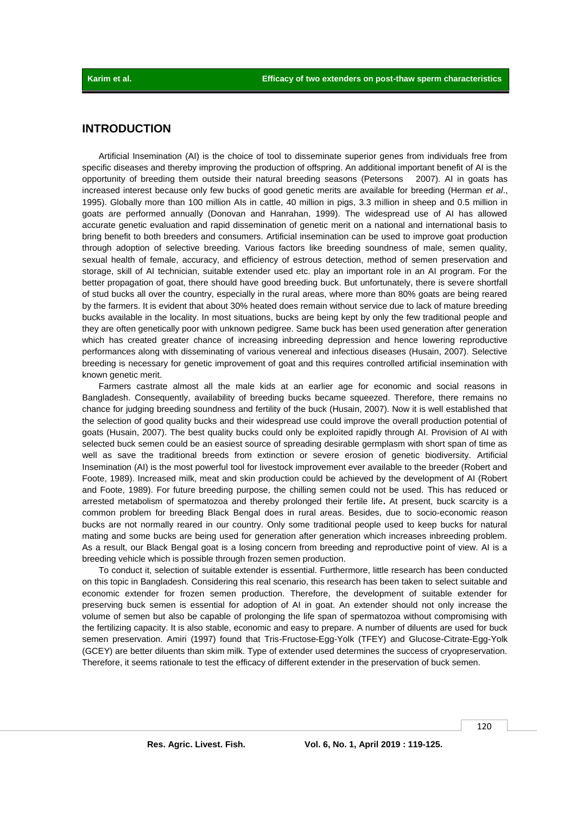## **INTRODUCTION**

Artificial Insemination (AI) is the choice of tool to disseminate superior genes from individuals free from specific diseases and thereby improving the production of offspring. An additional important benefit of AI is the opportunity of breeding them outside their natural breeding seasons (Petersons 2007). AI in goats has increased interest because only few bucks of good genetic merits are available for breeding (Herman *et al*., 1995). Globally more than 100 million AIs in cattle, 40 million in pigs, 3.3 million in sheep and 0.5 million in goats are performed annually (Donovan and Hanrahan, 1999). The widespread use of AI has allowed accurate genetic evaluation and rapid dissemination of genetic merit on a national and international basis to bring benefit to both breeders and consumers. Artificial insemination can be used to improve goat production through adoption of selective breeding. Various factors like breeding soundness of male, semen quality, sexual health of female, accuracy, and efficiency of estrous detection, method of semen preservation and storage, skill of AI technician, suitable extender used etc. play an important role in an AI program. For the better propagation of goat, there should have good breeding buck. But unfortunately, there is severe shortfall of stud bucks all over the country, especially in the rural areas, where more than 80% goats are being reared by the farmers. It is evident that about 30% heated does remain without service due to lack of mature breeding bucks available in the locality. In most situations, bucks are being kept by only the few traditional people and they are often genetically poor with unknown pedigree. Same buck has been used generation after generation which has created greater chance of increasing inbreeding depression and hence lowering reproductive performances along with disseminating of various venereal and infectious diseases (Husain, 2007). Selective breeding is necessary for genetic improvement of goat and this requires controlled artificial insemination with known genetic merit.

Farmers castrate almost all the male kids at an earlier age for economic and social reasons in Bangladesh. Consequently, availability of breeding bucks became squeezed. Therefore, there remains no chance for judging breeding soundness and fertility of the buck (Husain, 2007). Now it is well established that the selection of good quality bucks and their widespread use could improve the overall production potential of goats (Husain, 2007). The best quality bucks could only be exploited rapidly through AI. Provision of AI with selected buck semen could be an easiest source of spreading desirable germplasm with short span of time as well as save the traditional breeds from extinction or severe erosion of genetic biodiversity. Artificial Insemination (AI) is the most powerful tool for livestock improvement ever available to the breeder (Robert and Foote, 1989). Increased milk, meat and skin production could be achieved by the development of AI (Robert and Foote, 1989). For future breeding purpose, the chilling semen could not be used. This has reduced or arrested metabolism of spermatozoa and thereby prolonged their fertile life**.** At present, buck scarcity is a common problem for breeding Black Bengal does in rural areas. Besides, due to socio-economic reason bucks are not normally reared in our country. Only some traditional people used to keep bucks for natural mating and some bucks are being used for generation after generation which increases inbreeding problem. As a result, our Black Bengal goat is a losing concern from breeding and reproductive point of view. AI is a breeding vehicle which is possible through frozen semen production.

To conduct it, selection of suitable extender is essential. Furthermore, little research has been conducted on this topic in Bangladesh. Considering this real scenario, this research has been taken to select suitable and economic extender for frozen semen production. Therefore, the development of suitable extender for preserving buck semen is essential for adoption of AI in goat. An extender should not only increase the volume of semen but also be capable of prolonging the life span of spermatozoa without compromising with the fertilizing capacity. It is also stable, economic and easy to prepare. A number of diluents are used for buck semen preservation. Amiri (1997) found that Tris-Fructose-Egg-Yolk (TFEY) and Glucose-Citrate-Egg-Yolk (GCEY) are better diluents than skim milk. Type of extender used determines the success of cryopreservation. Therefore, it seems rationale to test the efficacy of different extender in the preservation of buck semen.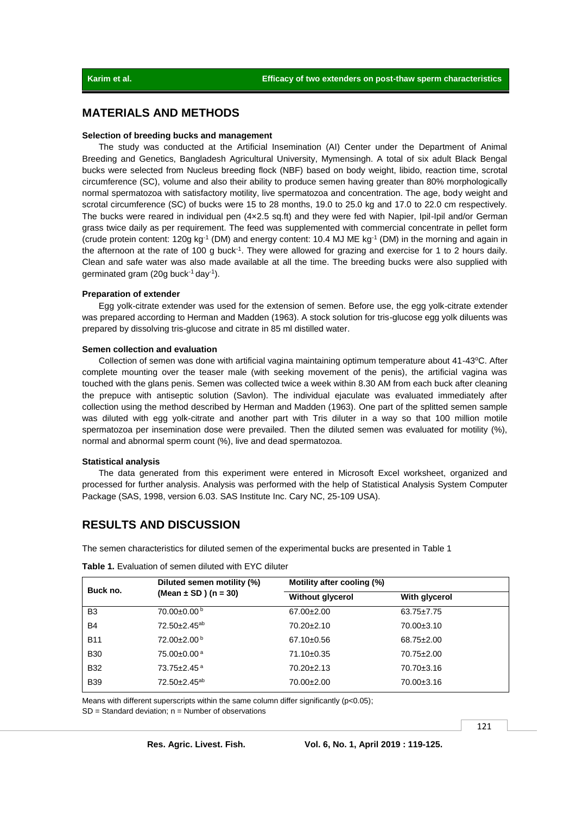## **MATERIALS AND METHODS**

#### **Selection of breeding bucks and management**

The study was conducted at the Artificial Insemination (AI) Center under the Department of Animal Breeding and Genetics, Bangladesh Agricultural University, Mymensingh. A total of six adult Black Bengal bucks were selected from Nucleus breeding flock (NBF) based on body weight, libido, reaction time, scrotal circumference (SC), volume and also their ability to produce semen having greater than 80% morphologically normal spermatozoa with satisfactory motility, live spermatozoa and concentration. The age, body weight and scrotal circumference (SC) of bucks were 15 to 28 months, 19.0 to 25.0 kg and 17.0 to 22.0 cm respectively. The bucks were reared in individual pen (4×2.5 sq.ft) and they were fed with Napier, Ipil-Ipil and/or German grass twice daily as per requirement. The feed was supplemented with commercial concentrate in pellet form (crude protein content: 120g kg<sup>-1</sup> (DM) and energy content: 10.4 MJ ME kg<sup>-1</sup> (DM) in the morning and again in the afternoon at the rate of 100 g buck<sup>-1</sup>. They were allowed for grazing and exercise for 1 to 2 hours daily. Clean and safe water was also made available at all the time. The breeding bucks were also supplied with germinated gram (20g buck<sup>-1</sup> day<sup>-1</sup>).

#### **Preparation of extender**

Egg yolk-citrate extender was used for the extension of semen. Before use, the egg yolk-citrate extender was prepared according to Herman and Madden (1963). A stock solution for tris-glucose egg yolk diluents was prepared by dissolving tris-glucose and citrate in 85 ml distilled water.

#### **Semen collection and evaluation**

Collection of semen was done with artificial vagina maintaining optimum temperature about 41-43°C. After complete mounting over the teaser male (with seeking movement of the penis), the artificial vagina was touched with the glans penis. Semen was collected twice a week within 8.30 AM from each buck after cleaning the prepuce with antiseptic solution (Savlon). The individual ejaculate was evaluated immediately after collection using the method described by Herman and Madden (1963). One part of the splitted semen sample was diluted with egg yolk-citrate and another part with Tris diluter in a way so that 100 million motile spermatozoa per insemination dose were prevailed. Then the diluted semen was evaluated for motility (%), normal and abnormal sperm count (%), live and dead spermatozoa.

#### **Statistical analysis**

The data generated from this experiment were entered in Microsoft Excel worksheet, organized and processed for further analysis. Analysis was performed with the help of Statistical Analysis System Computer Package (SAS, 1998, version 6.03. SAS Institute Inc. Cary NC, 25-109 USA).

# **RESULTS AND DISCUSSION**

The semen characteristics for diluted semen of the experimental bucks are presented in Table 1

| Diluted semen motility (%)<br>(Mean $\pm$ SD) (n = 30) | Motility after cooling (%) |                  |  |
|--------------------------------------------------------|----------------------------|------------------|--|
|                                                        | <b>Without glycerol</b>    | With glycerol    |  |
| 70.00±0.00 <sup>b</sup>                                | $67.00 \pm 2.00$           | $63.75 \pm 7.75$ |  |
| $72.50 \pm 2.45$ <sup>ab</sup>                         | $70.20 \pm 2.10$           | 70.00±3.10       |  |
| 72.00±2.00 <sup>b</sup>                                | $67.10 \pm 0.56$           | $68.75 \pm 2.00$ |  |
| $75.00 \pm 0.00$ <sup>a</sup>                          | 71.10±0.35                 | 70.75±2.00       |  |
| $73.75 \pm 2.45$ <sup>a</sup>                          | $70.20 \pm 2.13$           | 70.70±3.16       |  |
| $72.50 \pm 2.45$ <sup>ab</sup>                         | 70.00±2.00                 | 70.00±3.16       |  |
|                                                        |                            |                  |  |

**Table 1.** Evaluation of semen diluted with EYC diluter

Means with different superscripts within the same column differ significantly ( $p<0.05$ );  $SD = Standard deviation$ ; n = Number of observations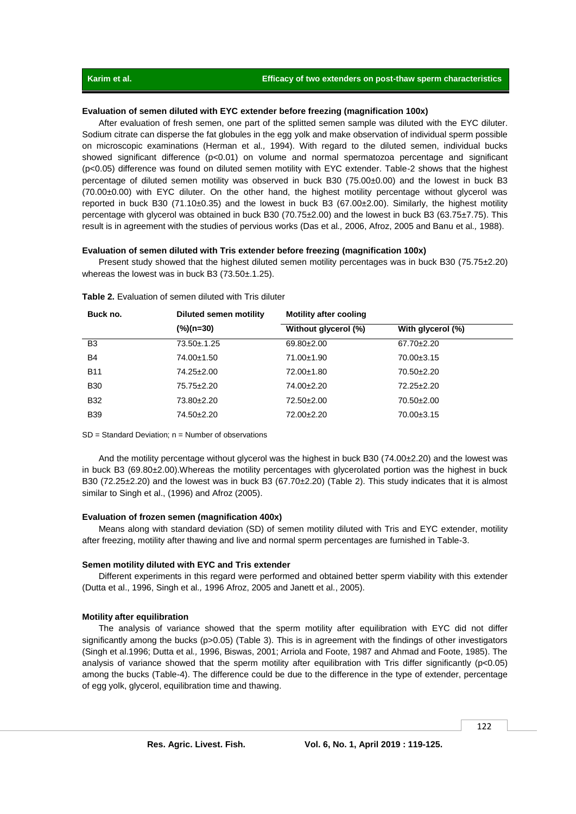### **Evaluation of semen diluted with EYC extender before freezing (magnification 100x)**

After evaluation of fresh semen, one part of the splitted semen sample was diluted with the EYC diluter. Sodium citrate can disperse the fat globules in the egg yolk and make observation of individual sperm possible on microscopic examinations (Herman et al*.,* 1994). With regard to the diluted semen, individual bucks showed significant difference (p<0.01) on volume and normal spermatozoa percentage and significant (p<0.05) difference was found on diluted semen motility with EYC extender. Table-2 shows that the highest percentage of diluted semen motility was observed in buck B30 (75.00±0.00) and the lowest in buck B3 (70.00±0.00) with EYC diluter. On the other hand, the highest motility percentage without glycerol was reported in buck B30 (71.10±0.35) and the lowest in buck B3 (67.00±2.00). Similarly, the highest motility percentage with glycerol was obtained in buck B30 (70.75±2.00) and the lowest in buck B3 (63.75±7.75). This result is in agreement with the studies of pervious works (Das et al*.,* 2006, Afroz, 2005 and Banu et al*.,* 1988).

#### **Evaluation of semen diluted with Tris extender before freezing (magnification 100x)**

Present study showed that the highest diluted semen motility percentages was in buck B30 (75.75±2.20) whereas the lowest was in buck B3 (73.50±.1.25).

| Buck no.       | Diluted semen motility | <b>Motility after cooling</b> |                   |  |
|----------------|------------------------|-------------------------------|-------------------|--|
|                | (%)(n=30)              | Without glycerol (%)          | With glycerol (%) |  |
| B <sub>3</sub> | 73.50±.1.25            | $69.80 \pm 2.00$              | $67.70 \pm 2.20$  |  |
| <b>B4</b>      | 74.00±1.50             | 71.00±1.90                    | $70.00 \pm 3.15$  |  |
| <b>B11</b>     | 74.25±2.00             | 72.00±1.80                    | 70.50±2.20        |  |
| <b>B30</b>     | 75.75±2.20             | 74.00±2.20                    | $72.25 \pm 2.20$  |  |
| <b>B32</b>     | 73.80±2.20             | 72.50±2.00                    | $70.50 \pm 2.00$  |  |
| <b>B39</b>     | 74.50±2.20             | 72.00±2.20                    | $70.00 \pm 3.15$  |  |

**Table 2.** Evaluation of semen diluted with Tris diluter

SD = Standard Deviation; n = Number of observations

And the motility percentage without glycerol was the highest in buck B30 (74.00±2.20) and the lowest was in buck B3 (69.80±2.00).Whereas the motility percentages with glycerolated portion was the highest in buck B30 (72.25±2.20) and the lowest was in buck B3 (67.70±2.20) (Table 2). This study indicates that it is almost similar to Singh et al., (1996) and Afroz (2005).

#### **Evaluation of frozen semen (magnification 400x)**

Means along with standard deviation (SD) of semen motility diluted with Tris and EYC extender, motility after freezing, motility after thawing and live and normal sperm percentages are furnished in Table-3.

### **Semen motility diluted with EYC and Tris extender**

Different experiments in this regard were performed and obtained better sperm viability with this extender (Dutta et al., 1996, Singh et al*.,* 1996 Afroz, 2005 and Janett et al*.*, 2005).

#### **Motility after equilibration**

The analysis of variance showed that the sperm motility after equilibration with EYC did not differ significantly among the bucks (p>0.05) (Table 3). This is in agreement with the findings of other investigators (Singh et al.1996; Dutta et al*.,* 1996, Biswas, 2001; Arriola and Foote, 1987 and Ahmad and Foote, 1985). The analysis of variance showed that the sperm motility after equilibration with Tris differ significantly (p<0.05) among the bucks (Table-4). The difference could be due to the difference in the type of extender, percentage of egg yolk, glycerol, equilibration time and thawing.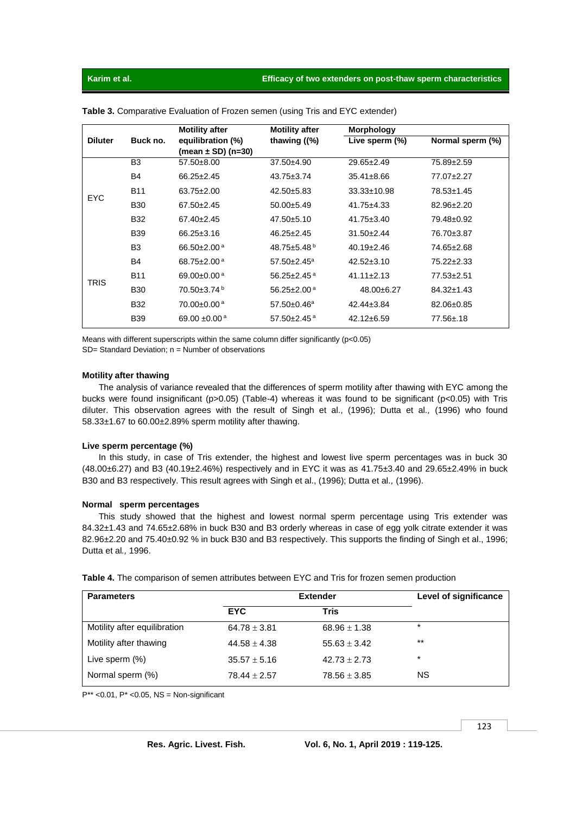|                |                | <b>Motility after</b>         | <b>Motility after</b>         | <b>Morphology</b> |                  |
|----------------|----------------|-------------------------------|-------------------------------|-------------------|------------------|
| <b>Diluter</b> | Buck no.       | equilibration (%)             | thawing $(%)$                 | Live sperm (%)    | Normal sperm (%) |
|                |                | (mean $\pm$ SD) (n=30)        |                               |                   |                  |
| <b>EYC</b>     | B <sub>3</sub> | $57.50 \pm 8.00$              | $37.50 \pm 4.90$              | $29.65 \pm 2.49$  | 75.89±2.59       |
|                | B <sub>4</sub> | $66.25 \pm 2.45$              | $43.75 \pm 3.74$              | $35.41 \pm 8.66$  | 77.07±2.27       |
|                | <b>B11</b>     | $63.75 \pm 2.00$              | $42.50 \pm 5.83$              | $33.33 \pm 10.98$ | 78.53±1.45       |
|                | <b>B30</b>     | $67.50 \pm 2.45$              | $50.00 \pm 5.49$              | $41.75 \pm 4.33$  | 82.96±2.20       |
|                | <b>B32</b>     | $67.40 \pm 2.45$              | $47.50 \pm 5.10$              | $41.75 \pm 3.40$  | 79.48±0.92       |
|                | <b>B39</b>     | $66.25 \pm 3.16$              | $46.25 \pm 2.45$              | $31.50 \pm 2.44$  | 76.70±3.87       |
| <b>TRIS</b>    | B <sub>3</sub> | 66.50 $\pm$ 2.00 $^{a}$       | 48.75 $\pm$ 5.48 <sup>b</sup> | $40.19 \pm 2.46$  | 74.65±2.68       |
|                | B <sub>4</sub> | 68.75 $\pm$ 2.00 $^{a}$       | $57.50 \pm 2.45^{\circ}$      | $42.52 \pm 3.10$  | $75.22 \pm 2.33$ |
|                | <b>B11</b>     | 69.00 $\pm$ 0.00 $^{a}$       | 56.25 $\pm$ 2.45 $a$          | $41.11 \pm 2.13$  | $77.53 \pm 2.51$ |
|                | <b>B30</b>     | $70.50 \pm 3.74$ <sup>b</sup> | $56.25 \pm 2.00$ <sup>a</sup> | $48.00 \pm 6.27$  | $84.32 \pm 1.43$ |
|                | <b>B32</b>     | 70.00 $\pm$ 0.00 $^{\rm a}$   | $57.50 \pm 0.46^a$            | $42.44 \pm 3.84$  | 82.06±0.85       |
|                | <b>B39</b>     | 69.00 $\pm$ 0.00 <sup>a</sup> | 57.50 $\pm$ 2.45 $a$          | $42.12 \pm 6.59$  | 77.56±.18        |

**Table 3.** Comparative Evaluation of Frozen semen (using Tris and EYC extender)

Means with different superscripts within the same column differ significantly ( $p < 0.05$ ) SD= Standard Deviation; n = Number of observations

#### **Motility after thawing**

The analysis of variance revealed that the differences of sperm motility after thawing with EYC among the bucks were found insignificant (p>0.05) (Table-4) whereas it was found to be significant (p<0.05) with Tris diluter. This observation agrees with the result of Singh et al., (1996); Dutta et al*.,* (1996) who found 58.33±1.67 to 60.00±2.89% sperm motility after thawing.

#### **Live sperm percentage (%)**

In this study, in case of Tris extender, the highest and lowest live sperm percentages was in buck 30 (48.00±6.27) and B3 (40.19±2.46%) respectively and in EYC it was as 41.75±3.40 and 29.65±2.49% in buck B30 and B3 respectively. This result agrees with Singh et al., (1996); Dutta et al*.,* (1996).

#### **Normal sperm percentages**

This study showed that the highest and lowest normal sperm percentage using Tris extender was 84.32±1.43 and 74.65±2.68% in buck B30 and B3 orderly whereas in case of egg yolk citrate extender it was 82.96±2.20 and 75.40±0.92 % in buck B30 and B3 respectively. This supports the finding of Singh et al., 1996; Dutta et al*.,* 1996.

| <b>Parameters</b>            | <b>Extender</b>  | Level of significance |         |
|------------------------------|------------------|-----------------------|---------|
|                              | <b>EYC</b>       | Tris                  |         |
| Motility after equilibration | $64.78 \pm 3.81$ | $68.96 \pm 1.38$      | $\star$ |
| Motility after thawing       | $44.58 \pm 4.38$ | $55.63 \pm 3.42$      | $**$    |
| Live sperm $(\%)$            | $35.57 \pm 5.16$ | $42.73 \pm 2.73$      | $\star$ |
| Normal sperm (%)             | $78.44 \pm 2.57$ | $78.56 \pm 3.85$      | NS.     |

**Table 4.** The comparison of semen attributes between EYC and Tris for frozen semen production

 $P^{**}$  < 0.01,  $P^*$  < 0.05, NS = Non-significant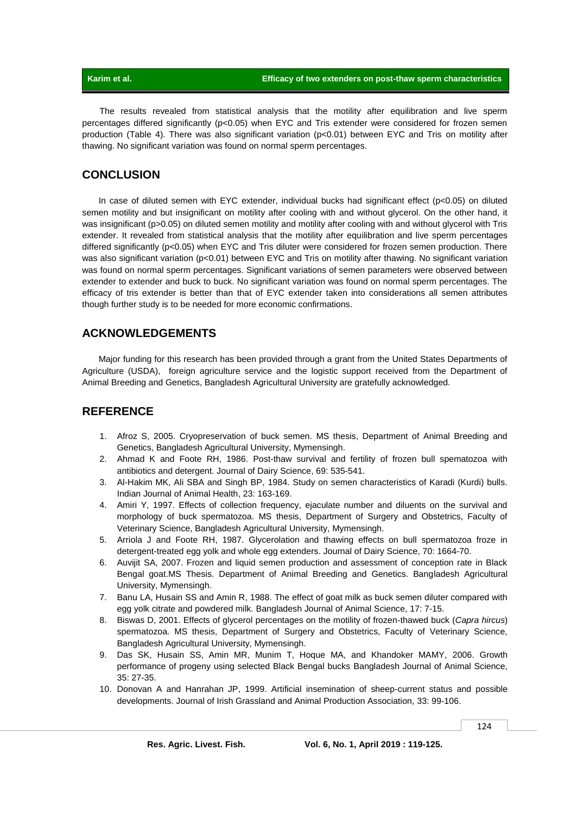The results revealed from statistical analysis that the motility after equilibration and live sperm percentages differed significantly (p<0.05) when EYC and Tris extender were considered for frozen semen production (Table 4). There was also significant variation (p<0.01) between EYC and Tris on motility after thawing. No significant variation was found on normal sperm percentages.

# **CONCLUSION**

In case of diluted semen with EYC extender, individual bucks had significant effect (p<0.05) on diluted semen motility and but insignificant on motility after cooling with and without glycerol. On the other hand, it was insignificant (p>0.05) on diluted semen motility and motility after cooling with and without glycerol with Tris extender. It revealed from statistical analysis that the motility after equilibration and live sperm percentages differed significantly (p<0.05) when EYC and Tris diluter were considered for frozen semen production. There was also significant variation (p<0.01) between EYC and Tris on motility after thawing. No significant variation was found on normal sperm percentages. Significant variations of semen parameters were observed between extender to extender and buck to buck. No significant variation was found on normal sperm percentages. The efficacy of tris extender is better than that of EYC extender taken into considerations all semen attributes though further study is to be needed for more economic confirmations.

# **ACKNOWLEDGEMENTS**

Major funding for this research has been provided through a grant from the United States Departments of Agriculture (USDA), foreign agriculture service and the logistic support received from the Department of Animal Breeding and Genetics, Bangladesh Agricultural University are gratefully acknowledged.

## **REFERENCE**

- 1. Afroz S, 2005. Cryopreservation of buck semen. MS thesis, Department of Animal Breeding and Genetics, Bangladesh Agricultural University, Mymensingh.
- 2. Ahmad K and Foote RH, 1986. Post-thaw survival and fertility of frozen bull spematozoa with antibiotics and detergent. Journal of Dairy Science, 69: 535-541.
- 3. Al-Hakim MK, Ali SBA and Singh BP, 1984. Study on semen characteristics of Karadi (Kurdi) bulls. Indian Journal of Animal Health, 23: 163-169.
- 4. Amiri Y, 1997. Effects of collection frequency, ejaculate number and diluents on the survival and morphology of buck spermatozoa. MS thesis, Department of Surgery and Obstetrics, Faculty of Veterinary Science, Bangladesh Agricultural University, Mymensingh.
- 5. [Arriola J](http://www.ncbi.nlm.nih.gov/sites/entrez?Db=pubmed&Cmd=Search&Term=%22Arriola%20J%22%5BAuthor%5D&itool=EntrezSystem2.PEntrez.Pubmed.Pubmed_ResultsPanel.Pubmed_RVAbstractPlus) and [Foote RH,](http://www.ncbi.nlm.nih.gov/sites/entrez?Db=pubmed&Cmd=Search&Term=%22Foote%20RH%22%5BAuthor%5D&itool=EntrezSystem2.PEntrez.Pubmed.Pubmed_ResultsPanel.Pubmed_RVAbstractPlus) 1987. Glycerolation and thawing effects on bull spermatozoa froze in detergent-treated egg yolk and whole egg extenders. Journal of Dairy Science, 70: 1664-70.
- 6. Auvijit SA, 2007. Frozen and liquid semen production and assessment of conception rate in Black Bengal goat.MS Thesis. Department of Animal Breeding and Genetics. Bangladesh Agricultural University, Mymensingh.
- 7. Banu LA, Husain SS and Amin R, 1988. The effect of goat milk as buck semen diluter compared with egg yolk citrate and powdered milk. Bangladesh Journal of Animal Science, 17: 7-15.
- 8. Biswas D, 2001. Effects of glycerol percentages on the motility of frozen-thawed buck (*Capra hircus*) spermatozoa. MS thesis, Department of Surgery and Obstetrics, Faculty of Veterinary Science, Bangladesh Agricultural University, Mymensingh.
- 9. Das SK, Husain SS, Amin MR, Munim T, Hoque MA, and Khandoker MAMY, 2006. Growth performance of progeny using selected Black Bengal bucks Bangladesh Journal of Animal Science, 35: 27-35.
- 10. Donovan A and Hanrahan JP, 1999. Artificial insemination of sheep-current status and possible developments. Journal of Irish Grassland and Animal Production Association, 33: 99-106.